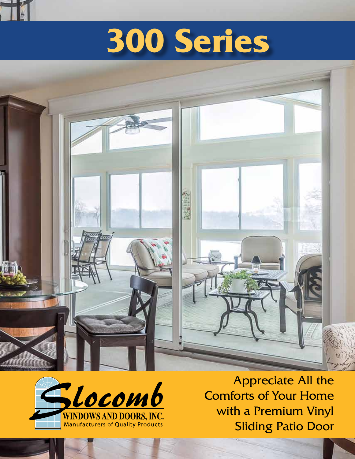# **300 Series**





Si

Appreciate All the Comforts of Your Home with a Premium Vinyl Sliding Patio Door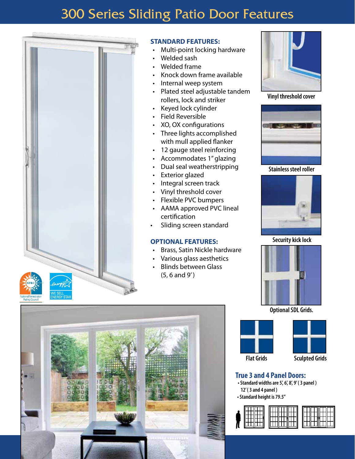### 300 Series Sliding Patio Door Features



### **STANDARD FEATURES:**

- Multi-point locking hardware
- Welded sash
- Welded frame
- Knock down frame available
- Internal weep system
- Plated steel adjustable tandem rollers, lock and striker
- Keyed lock cylinder
- Field Reversible
- XO, OX configurations
- Three lights accomplished with mull applied flanker
- 12 gauge steel reinforcing
- Accommodates 1" glazing
- Dual seal weatherstripping
- **Exterior glazed**
- Integral screen track
- Vinyl threshold cover
- Flexible PVC bumpers
- AAMA approved PVC lineal certification
- Sliding screen standard

### **OPTIONAL FEATURES:**

- Brass, Satin Nickle hardware
- Various glass aesthetics
- **Blinds between Glass**  (5, 6 and 9')



**Vinyl threshold cover**



**Stainless steel roller**



**Security kick lock** 



**Optional SDL Grids.** 





**Flat Grids Sculpted Grids**

### **True 3 and 4 Panel Doors:**

- **•Standard widthsare 5', 6', 8', 9'( 3 panel ) 12'( 3 and 4 panel )**
- **•Standard height is 79.5"**



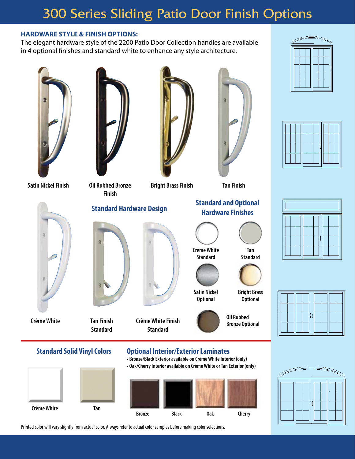### 300 Series Sliding Patio Door Finish Options

### **HARDWARE STYLE & FINISH OPTIONS:**

The elegant hardware style of the 2200 Patio Door Collection handles are available in 4 optional finishes and standard white to enhance any style architecture.





**Satin NickelFinish Oil Rubbed Bronze**



**Standard Hardware Design Standard and Optional**



**Bright BrassFinish Tan Finish**





H

**CrèmeWhite Tan Finish Standard Crème White Finish Standard Hardware Finishes CrèmeWhite Standard Tan Standard Satin Nickel Optional Bright Brass Optional Oil Rubbed Bronze Optional Standard Solid Vinyl Colors Optional Interior/Exterior Laminates • Bronze/BlackExterioravailable on CrèmeWhiteInterior (only) • Oak/CherryInterioravailable on CrèmeWhite orTan Exterior (only)**









Printed color will vary slightly from actual color. Always refer to actual color samples before making color selections.